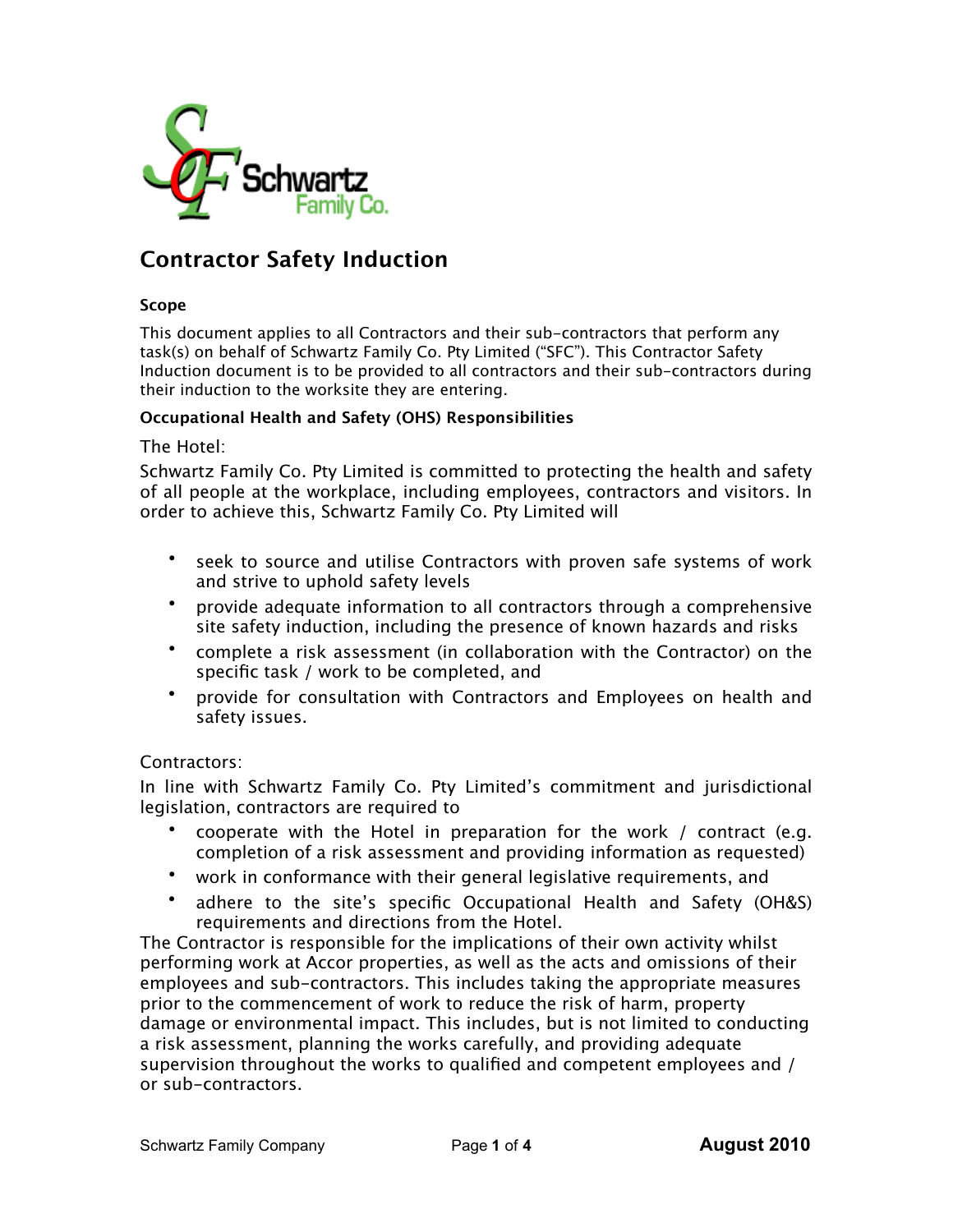

# **Contractor Safety Induction**

#### **Scope**

This document applies to all Contractors and their sub-contractors that perform any task(s) on behalf of Schwartz Family Co. Pty Limited ("SFC"). This Contractor Safety Induction document is to be provided to all contractors and their sub-contractors during their induction to the worksite they are entering.

#### **Occupational Health and Safety (OHS) Responsibilities**

#### The Hotel:

Schwartz Family Co. Pty Limited is committed to protecting the health and safety of all people at the workplace, including employees, contractors and visitors. In order to achieve this, Schwartz Family Co. Pty Limited will

- seek to source and utilise Contractors with proven safe systems of work and strive to uphold safety levels
- provide adequate information to all contractors through a comprehensive site safety induction, including the presence of known hazards and risks
- complete a risk assessment (in collaboration with the Contractor) on the specific task / work to be completed, and
- provide for consultation with Contractors and Employees on health and safety issues.

#### Contractors:

In line with Schwartz Family Co. Pty Limited's commitment and jurisdictional legislation, contractors are required to

- cooperate with the Hotel in preparation for the work / contract (e.g. completion of a risk assessment and providing information as requested)
- work in conformance with their general legislative requirements, and
- adhere to the site's specific Occupational Health and Safety (OH&S) requirements and directions from the Hotel.

The Contractor is responsible for the implications of their own activity whilst performing work at Accor properties, as well as the acts and omissions of their employees and sub-contractors. This includes taking the appropriate measures prior to the commencement of work to reduce the risk of harm, property damage or environmental impact. This includes, but is not limited to conducting a risk assessment, planning the works carefully, and providing adequate supervision throughout the works to qualified and competent employees and / or sub-contractors.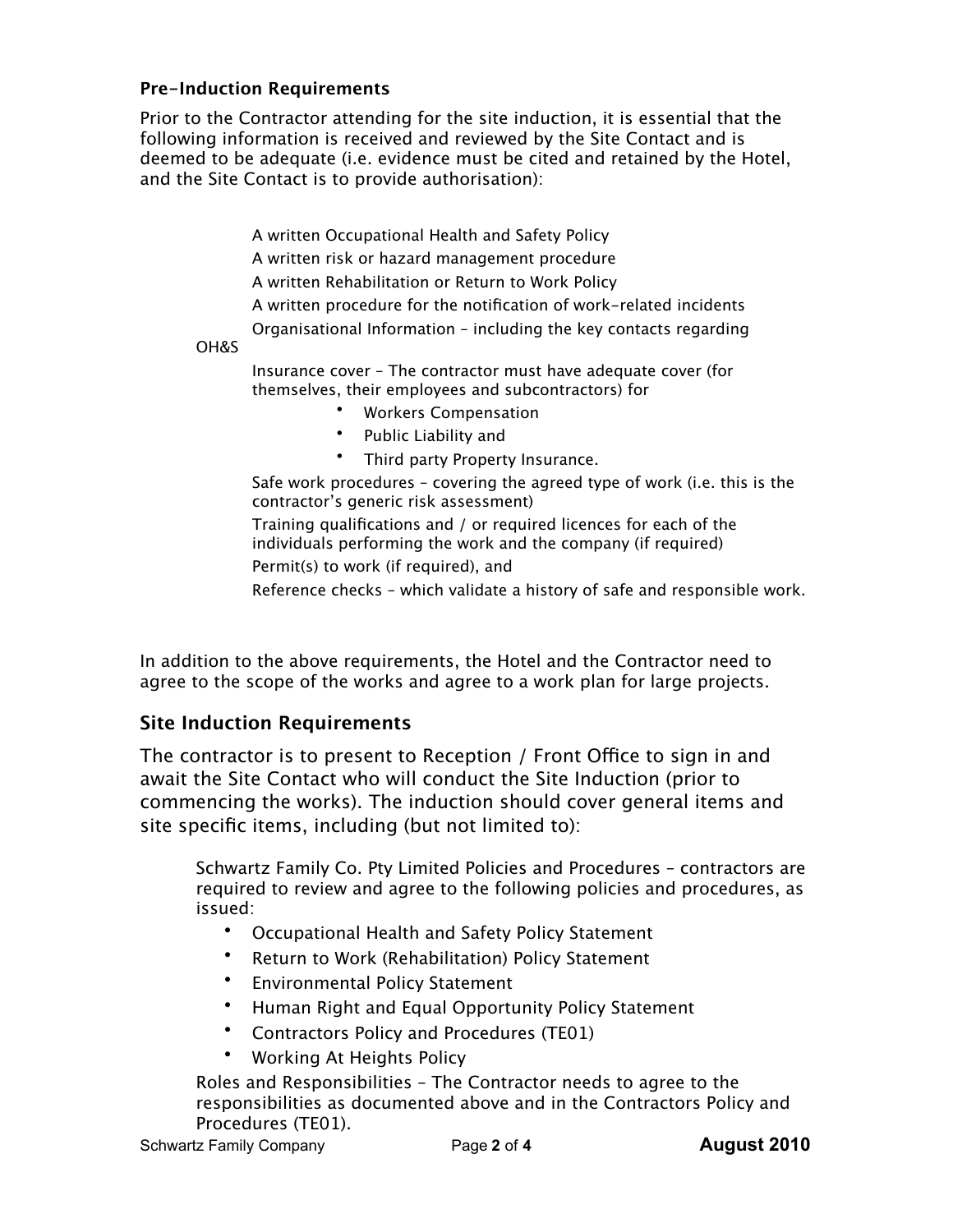## **Pre-Induction Requirements**

Prior to the Contractor attending for the site induction, it is essential that the following information is received and reviewed by the Site Contact and is deemed to be adequate (i.e. evidence must be cited and retained by the Hotel, and the Site Contact is to provide authorisation):

A written Occupational Health and Safety Policy

A written risk or hazard management procedure

A written Rehabilitation or Return to Work Policy

A written procedure for the notification of work-related incidents

Organisational Information – including the key contacts regarding

OH&S

Insurance cover – The contractor must have adequate cover (for themselves, their employees and subcontractors) for

- Workers Compensation
- Public Liability and
- Third party Property Insurance.

Safe work procedures – covering the agreed type of work (i.e. this is the contractor's generic risk assessment)

Training qualifications and / or required licences for each of the individuals performing the work and the company (if required)

Permit(s) to work (if required), and

Reference checks – which validate a history of safe and responsible work.

In addition to the above requirements, the Hotel and the Contractor need to agree to the scope of the works and agree to a work plan for large projects.

## **Site Induction Requirements**

The contractor is to present to Reception / Front Office to sign in and await the Site Contact who will conduct the Site Induction (prior to commencing the works). The induction should cover general items and site specific items, including (but not limited to):

Schwartz Family Co. Pty Limited Policies and Procedures – contractors are required to review and agree to the following policies and procedures, as issued:

- Occupational Health and Safety Policy Statement
- Return to Work (Rehabilitation) Policy Statement
- Environmental Policy Statement
- Human Right and Equal Opportunity Policy Statement
- Contractors Policy and Procedures (TE01)
- Working At Heights Policy

Roles and Responsibilities – The Contractor needs to agree to the responsibilities as documented above and in the Contractors Policy and Procedures (TE01).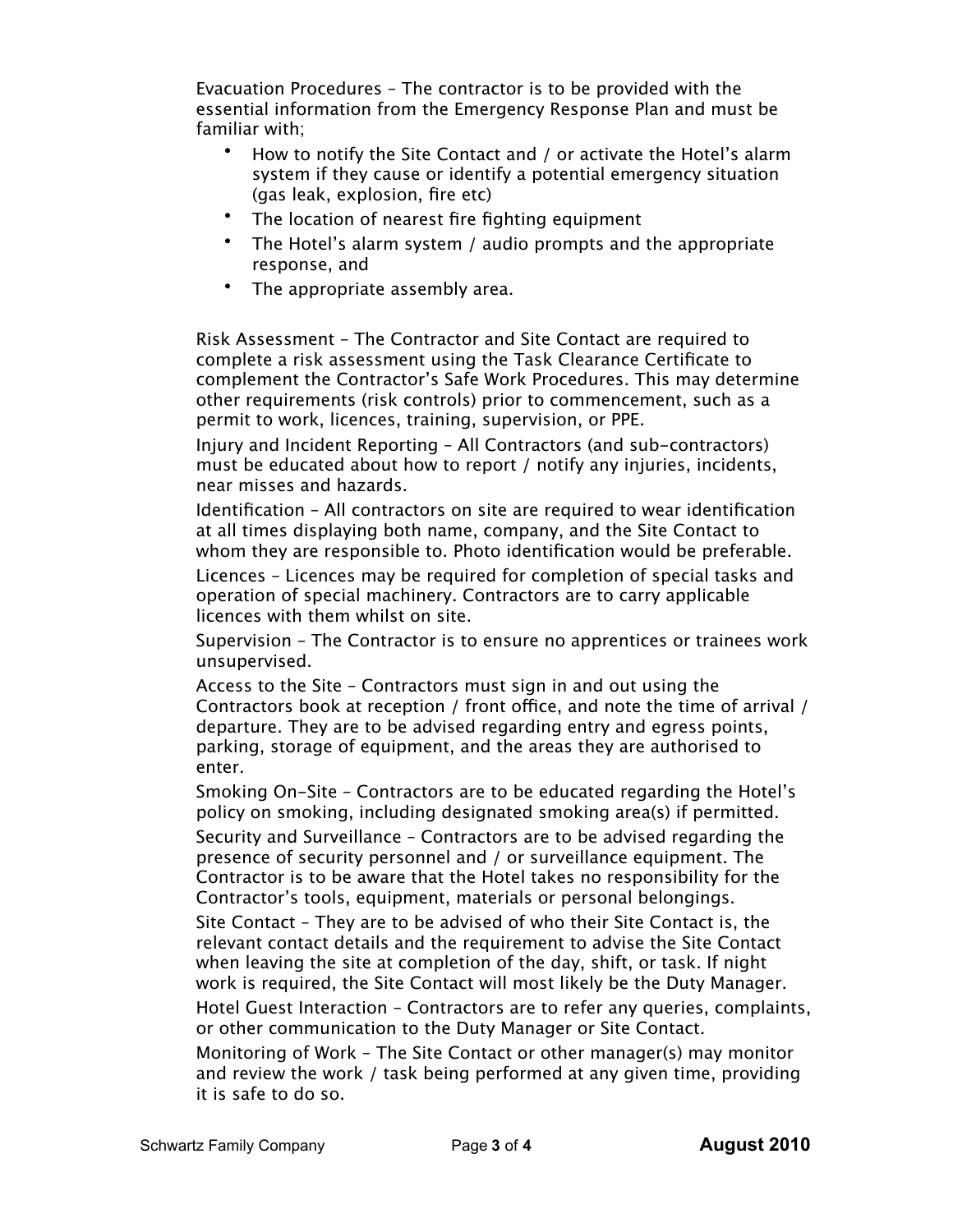Evacuation Procedures – The contractor is to be provided with the essential information from the Emergency Response Plan and must be familiar with;

- How to notify the Site Contact and / or activate the Hotel's alarm system if they cause or identify a potential emergency situation (gas leak, explosion, fire etc)
- The location of nearest fire fighting equipment
- The Hotel's alarm system / audio prompts and the appropriate response, and
- The appropriate assembly area.

Risk Assessment – The Contractor and Site Contact are required to complete a risk assessment using the Task Clearance Certificate to complement the Contractor's Safe Work Procedures. This may determine other requirements (risk controls) prior to commencement, such as a permit to work, licences, training, supervision, or PPE.

Injury and Incident Reporting – All Contractors (and sub-contractors) must be educated about how to report / notify any injuries, incidents, near misses and hazards.

Identification – All contractors on site are required to wear identification at all times displaying both name, company, and the Site Contact to whom they are responsible to. Photo identification would be preferable.

Licences – Licences may be required for completion of special tasks and operation of special machinery. Contractors are to carry applicable licences with them whilst on site.

Supervision – The Contractor is to ensure no apprentices or trainees work unsupervised.

Access to the Site – Contractors must sign in and out using the Contractors book at reception / front office, and note the time of arrival / departure. They are to be advised regarding entry and egress points, parking, storage of equipment, and the areas they are authorised to enter.

Smoking On-Site – Contractors are to be educated regarding the Hotel's policy on smoking, including designated smoking area(s) if permitted.

Security and Surveillance – Contractors are to be advised regarding the presence of security personnel and / or surveillance equipment. The Contractor is to be aware that the Hotel takes no responsibility for the Contractor's tools, equipment, materials or personal belongings.

Site Contact – They are to be advised of who their Site Contact is, the relevant contact details and the requirement to advise the Site Contact when leaving the site at completion of the day, shift, or task. If night work is required, the Site Contact will most likely be the Duty Manager.

Hotel Guest Interaction – Contractors are to refer any queries, complaints, or other communication to the Duty Manager or Site Contact.

Monitoring of Work – The Site Contact or other manager(s) may monitor and review the work / task being performed at any given time, providing it is safe to do so.